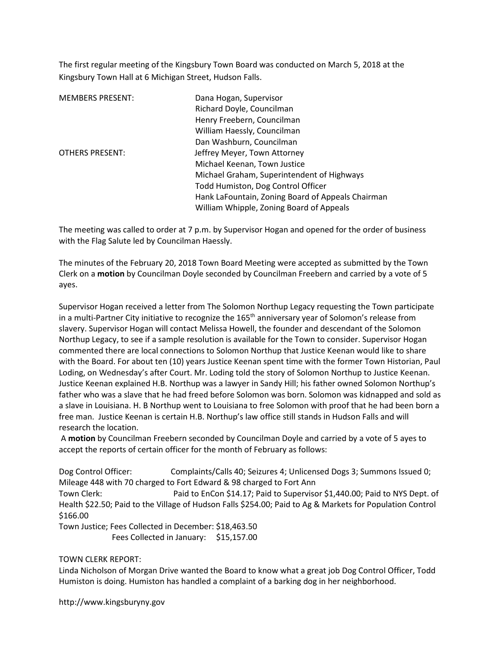The first regular meeting of the Kingsbury Town Board was conducted on March 5, 2018 at the Kingsbury Town Hall at 6 Michigan Street, Hudson Falls.

| <b>MEMBERS PRESENT:</b> | Dana Hogan, Supervisor                            |
|-------------------------|---------------------------------------------------|
|                         | Richard Doyle, Councilman                         |
|                         | Henry Freebern, Councilman                        |
|                         | William Haessly, Councilman                       |
|                         | Dan Washburn, Councilman                          |
| OTHERS PRESENT:         | Jeffrey Meyer, Town Attorney                      |
|                         | Michael Keenan, Town Justice                      |
|                         | Michael Graham, Superintendent of Highways        |
|                         | Todd Humiston, Dog Control Officer                |
|                         | Hank LaFountain, Zoning Board of Appeals Chairman |
|                         | William Whipple, Zoning Board of Appeals          |

The meeting was called to order at 7 p.m. by Supervisor Hogan and opened for the order of business with the Flag Salute led by Councilman Haessly.

The minutes of the February 20, 2018 Town Board Meeting were accepted as submitted by the Town Clerk on a motion by Councilman Doyle seconded by Councilman Freebern and carried by a vote of 5 ayes.

Supervisor Hogan received a letter from The Solomon Northup Legacy requesting the Town participate in a multi-Partner City initiative to recognize the 165<sup>th</sup> anniversary year of Solomon's release from slavery. Supervisor Hogan will contact Melissa Howell, the founder and descendant of the Solomon Northup Legacy, to see if a sample resolution is available for the Town to consider. Supervisor Hogan commented there are local connections to Solomon Northup that Justice Keenan would like to share with the Board. For about ten (10) years Justice Keenan spent time with the former Town Historian, Paul Loding, on Wednesday's after Court. Mr. Loding told the story of Solomon Northup to Justice Keenan. Justice Keenan explained H.B. Northup was a lawyer in Sandy Hill; his father owned Solomon Northup's father who was a slave that he had freed before Solomon was born. Solomon was kidnapped and sold as a slave in Louisiana. H. B Northup went to Louisiana to free Solomon with proof that he had been born a free man. Justice Keenan is certain H.B. Northup's law office still stands in Hudson Falls and will research the location.

 A motion by Councilman Freebern seconded by Councilman Doyle and carried by a vote of 5 ayes to accept the reports of certain officer for the month of February as follows:

Dog Control Officer: Complaints/Calls 40; Seizures 4; Unlicensed Dogs 3; Summons Issued 0; Mileage 448 with 70 charged to Fort Edward & 98 charged to Fort Ann Town Clerk: Paid to EnCon \$14.17; Paid to Supervisor \$1,440.00; Paid to NYS Dept. of Health \$22.50; Paid to the Village of Hudson Falls \$254.00; Paid to Ag & Markets for Population Control \$166.00 Town Justice; Fees Collected in December: \$18,463.50 Fees Collected in January: \$15,157.00

### TOWN CLERK REPORT:

Linda Nicholson of Morgan Drive wanted the Board to know what a great job Dog Control Officer, Todd Humiston is doing. Humiston has handled a complaint of a barking dog in her neighborhood.

http://www.kingsburyny.gov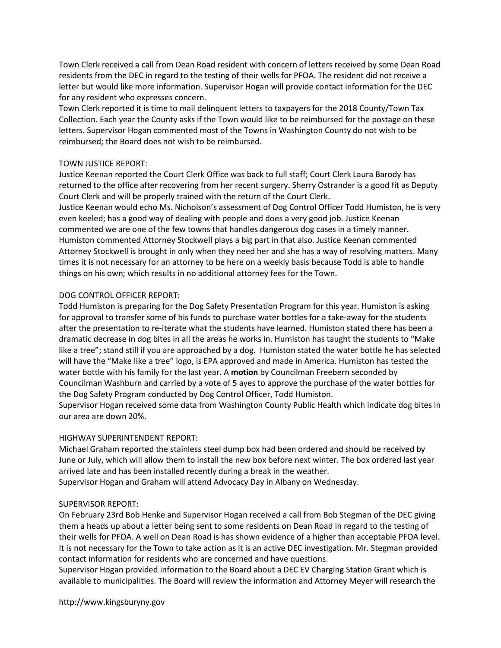Town Clerk received a call from Dean Road resident with concern of letters received by some Dean Road residents from the DEC in regard to the testing of their wells for PFOA. The resident did not receive a letter but would like more information. Supervisor Hogan will provide contact information for the DEC for any resident who expresses concern.

Town Clerk reported it is time to mail delinquent letters to taxpayers for the 2018 County/Town Tax Collection. Each year the County asks if the Town would like to be reimbursed for the postage on these letters. Supervisor Hogan commented most of the Towns in Washington County do not wish to be reimbursed; the Board does not wish to be reimbursed.

# TOWN JUSTICE REPORT:

Justice Keenan reported the Court Clerk Office was back to full staff; Court Clerk Laura Barody has returned to the office after recovering from her recent surgery. Sherry Ostrander is a good fit as Deputy Court Clerk and will be properly trained with the return of the Court Clerk.

Justice Keenan would echo Ms. Nicholson's assessment of Dog Control Officer Todd Humiston, he is very even keeled; has a good way of dealing with people and does a very good job. Justice Keenan commented we are one of the few towns that handles dangerous dog cases in a timely manner. Humiston commented Attorney Stockwell plays a big part in that also. Justice Keenan commented Attorney Stockwell is brought in only when they need her and she has a way of resolving matters. Many times it is not necessary for an attorney to be here on a weekly basis because Todd is able to handle things on his own; which results in no additional attorney fees for the Town.

# DOG CONTROL OFFICER REPORT:

Todd Humiston is preparing for the Dog Safety Presentation Program for this year. Humiston is asking for approval to transfer some of his funds to purchase water bottles for a take-away for the students after the presentation to re-iterate what the students have learned. Humiston stated there has been a dramatic decrease in dog bites in all the areas he works in. Humiston has taught the students to "Make like a tree"; stand still if you are approached by a dog. Humiston stated the water bottle he has selected will have the "Make like a tree" logo, is EPA approved and made in America. Humiston has tested the water bottle with his family for the last year. A motion by Councilman Freebern seconded by Councilman Washburn and carried by a vote of 5 ayes to approve the purchase of the water bottles for the Dog Safety Program conducted by Dog Control Officer, Todd Humiston.

Supervisor Hogan received some data from Washington County Public Health which indicate dog bites in our area are down 20%.

# HIGHWAY SUPERINTENDENT REPORT:

Michael Graham reported the stainless steel dump box had been ordered and should be received by June or July, which will allow them to install the new box before next winter. The box ordered last year arrived late and has been installed recently during a break in the weather.

Supervisor Hogan and Graham will attend Advocacy Day in Albany on Wednesday.

# SUPERVISOR REPORT:

On February 23rd Bob Henke and Supervisor Hogan received a call from Bob Stegman of the DEC giving them a heads up about a letter being sent to some residents on Dean Road in regard to the testing of their wells for PFOA. A well on Dean Road is has shown evidence of a higher than acceptable PFOA level. It is not necessary for the Town to take action as it is an active DEC investigation. Mr. Stegman provided contact information for residents who are concerned and have questions.

Supervisor Hogan provided information to the Board about a DEC EV Charging Station Grant which is available to municipalities. The Board will review the information and Attorney Meyer will research the

http://www.kingsburyny.gov